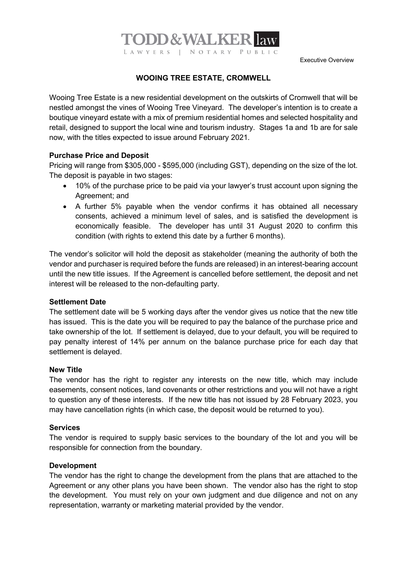Executive Overview

## **WOOING TREE ESTATE, CROMWELL**

LAWYERS | NOTARY PUBLIC

**TODD&WALKERI** 

Wooing Tree Estate is a new residential development on the outskirts of Cromwell that will be nestled amongst the vines of Wooing Tree Vineyard. The developer's intention is to create a boutique vineyard estate with a mix of premium residential homes and selected hospitality and retail, designed to support the local wine and tourism industry. Stages 1a and 1b are for sale now, with the titles expected to issue around February 2021.

### **Purchase Price and Deposit**

Pricing will range from \$305,000 - \$595,000 (including GST), depending on the size of the lot. The deposit is payable in two stages:

- 10% of the purchase price to be paid via your lawyer's trust account upon signing the Agreement; and
- A further 5% payable when the vendor confirms it has obtained all necessary consents, achieved a minimum level of sales, and is satisfied the development is economically feasible. The developer has until 31 August 2020 to confirm this condition (with rights to extend this date by a further 6 months).

The vendor's solicitor will hold the deposit as stakeholder (meaning the authority of both the vendor and purchaser is required before the funds are released) in an interest-bearing account until the new title issues. If the Agreement is cancelled before settlement, the deposit and net interest will be released to the non-defaulting party.

#### **Settlement Date**

The settlement date will be 5 working days after the vendor gives us notice that the new title has issued. This is the date you will be required to pay the balance of the purchase price and take ownership of the lot. If settlement is delayed, due to your default, you will be required to pay penalty interest of 14% per annum on the balance purchase price for each day that settlement is delayed.

### **New Title**

The vendor has the right to register any interests on the new title, which may include easements, consent notices, land covenants or other restrictions and you will not have a right to question any of these interests. If the new title has not issued by 28 February 2023, you may have cancellation rights (in which case, the deposit would be returned to you).

#### **Services**

The vendor is required to supply basic services to the boundary of the lot and you will be responsible for connection from the boundary.

## **Development**

The vendor has the right to change the development from the plans that are attached to the Agreement or any other plans you have been shown. The vendor also has the right to stop the development. You must rely on your own judgment and due diligence and not on any representation, warranty or marketing material provided by the vendor.